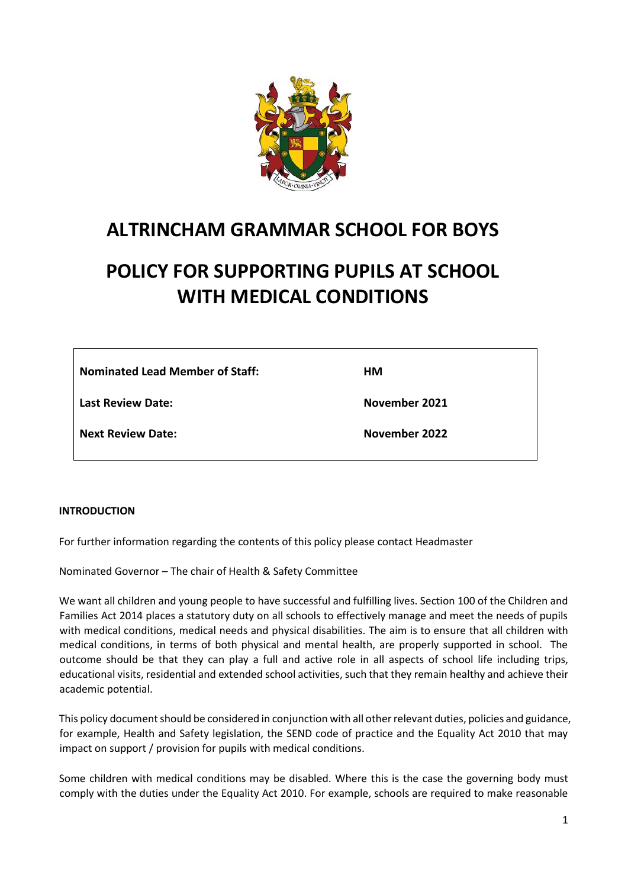

# **ALTRINCHAM GRAMMAR SCHOOL FOR BOYS**

# **POLICY FOR SUPPORTING PUPILS AT SCHOOL WITH MEDICAL CONDITIONS**

| <b>Nominated Lead Member of Staff:</b> | HM.           |
|----------------------------------------|---------------|
| <b>Last Review Date:</b>               | November 2021 |
| <b>Next Review Date:</b>               | November 2022 |

#### **INTRODUCTION**

For further information regarding the contents of this policy please contact Headmaster

Nominated Governor – The chair of Health & Safety Committee

We want all children and young people to have successful and fulfilling lives. Section 100 of the Children and Families Act 2014 places a statutory duty on all schools to effectively manage and meet the needs of pupils with medical conditions, medical needs and physical disabilities. The aim is to ensure that all children with medical conditions, in terms of both physical and mental health, are properly supported in school. The outcome should be that they can play a full and active role in all aspects of school life including trips, educational visits, residential and extended school activities, such that they remain healthy and achieve their academic potential.

This policy document should be considered in conjunction with all other relevant duties, policies and guidance, for example, Health and Safety legislation, the SEND code of practice and the Equality Act 2010 that may impact on support / provision for pupils with medical conditions.

Some children with medical conditions may be disabled. Where this is the case the governing body must comply with the duties under the Equality Act 2010. For example, schools are required to make reasonable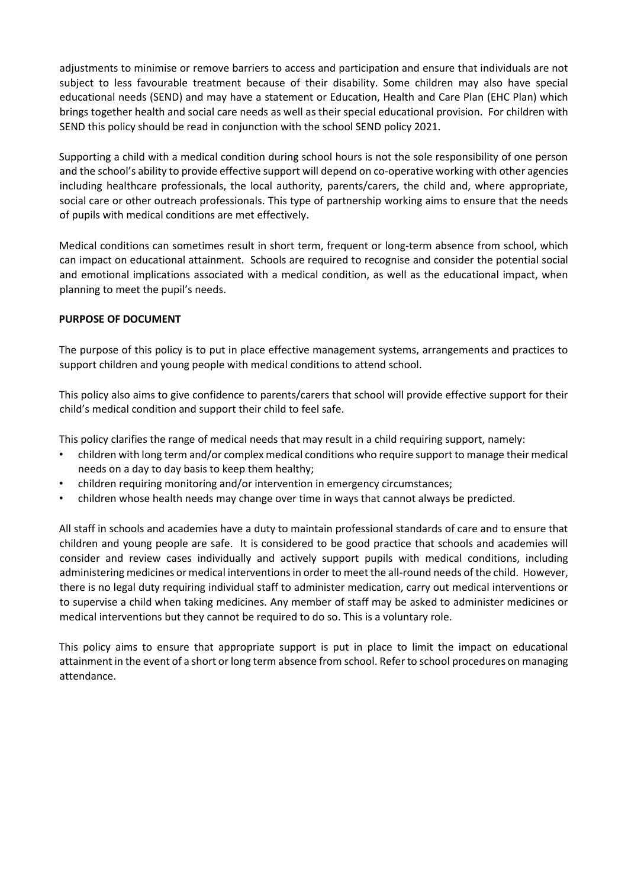adjustments to minimise or remove barriers to access and participation and ensure that individuals are not subject to less favourable treatment because of their disability. Some children may also have special educational needs (SEND) and may have a statement or Education, Health and Care Plan (EHC Plan) which brings together health and social care needs as well as their special educational provision. For children with SEND this policy should be read in conjunction with the school SEND policy 2021.

Supporting a child with a medical condition during school hours is not the sole responsibility of one person and the school's ability to provide effective support will depend on co-operative working with other agencies including healthcare professionals, the local authority, parents/carers, the child and, where appropriate, social care or other outreach professionals. This type of partnership working aims to ensure that the needs of pupils with medical conditions are met effectively.

Medical conditions can sometimes result in short term, frequent or long-term absence from school, which can impact on educational attainment. Schools are required to recognise and consider the potential social and emotional implications associated with a medical condition, as well as the educational impact, when planning to meet the pupil's needs.

### **PURPOSE OF DOCUMENT**

The purpose of this policy is to put in place effective management systems, arrangements and practices to support children and young people with medical conditions to attend school.

This policy also aims to give confidence to parents/carers that school will provide effective support for their child's medical condition and support their child to feel safe.

This policy clarifies the range of medical needs that may result in a child requiring support, namely:

- children with long term and/or complex medical conditions who require support to manage their medical needs on a day to day basis to keep them healthy;
- children requiring monitoring and/or intervention in emergency circumstances;
- children whose health needs may change over time in ways that cannot always be predicted.

All staff in schools and academies have a duty to maintain professional standards of care and to ensure that children and young people are safe. It is considered to be good practice that schools and academies will consider and review cases individually and actively support pupils with medical conditions, including administering medicines or medical interventions in order to meet the all-round needs of the child. However, there is no legal duty requiring individual staff to administer medication, carry out medical interventions or to supervise a child when taking medicines. Any member of staff may be asked to administer medicines or medical interventions but they cannot be required to do so. This is a voluntary role.

This policy aims to ensure that appropriate support is put in place to limit the impact on educational attainment in the event of a short or long term absence from school. Refer to school procedures on managing attendance.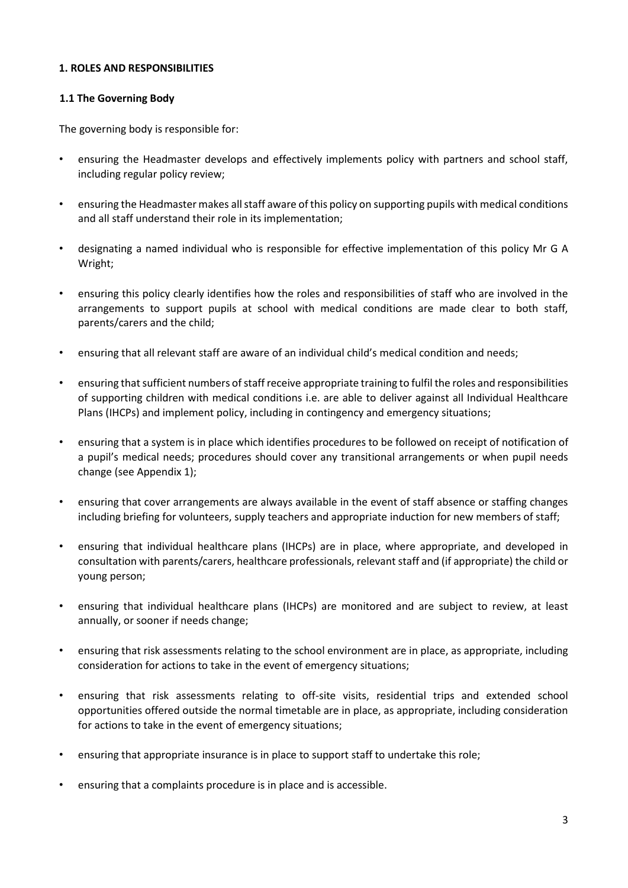### **1. ROLES AND RESPONSIBILITIES**

### **1.1 The Governing Body**

The governing body is responsible for:

- ensuring the Headmaster develops and effectively implements policy with partners and school staff, including regular policy review;
- ensuring the Headmaster makes all staff aware of this policy on supporting pupils with medical conditions and all staff understand their role in its implementation;
- designating a named individual who is responsible for effective implementation of this policy Mr G A Wright;
- ensuring this policy clearly identifies how the roles and responsibilities of staff who are involved in the arrangements to support pupils at school with medical conditions are made clear to both staff, parents/carers and the child;
- ensuring that all relevant staff are aware of an individual child's medical condition and needs;
- ensuring that sufficient numbers of staff receive appropriate training to fulfil the roles and responsibilities of supporting children with medical conditions i.e. are able to deliver against all Individual Healthcare Plans (IHCPs) and implement policy, including in contingency and emergency situations;
- ensuring that a system is in place which identifies procedures to be followed on receipt of notification of a pupil's medical needs; procedures should cover any transitional arrangements or when pupil needs change (see Appendix 1);
- ensuring that cover arrangements are always available in the event of staff absence or staffing changes including briefing for volunteers, supply teachers and appropriate induction for new members of staff;
- ensuring that individual healthcare plans (IHCPs) are in place, where appropriate, and developed in consultation with parents/carers, healthcare professionals, relevant staff and (if appropriate) the child or young person;
- ensuring that individual healthcare plans (IHCPs) are monitored and are subject to review, at least annually, or sooner if needs change;
- ensuring that risk assessments relating to the school environment are in place, as appropriate, including consideration for actions to take in the event of emergency situations;
- ensuring that risk assessments relating to off-site visits, residential trips and extended school opportunities offered outside the normal timetable are in place, as appropriate, including consideration for actions to take in the event of emergency situations;
- ensuring that appropriate insurance is in place to support staff to undertake this role;
- ensuring that a complaints procedure is in place and is accessible.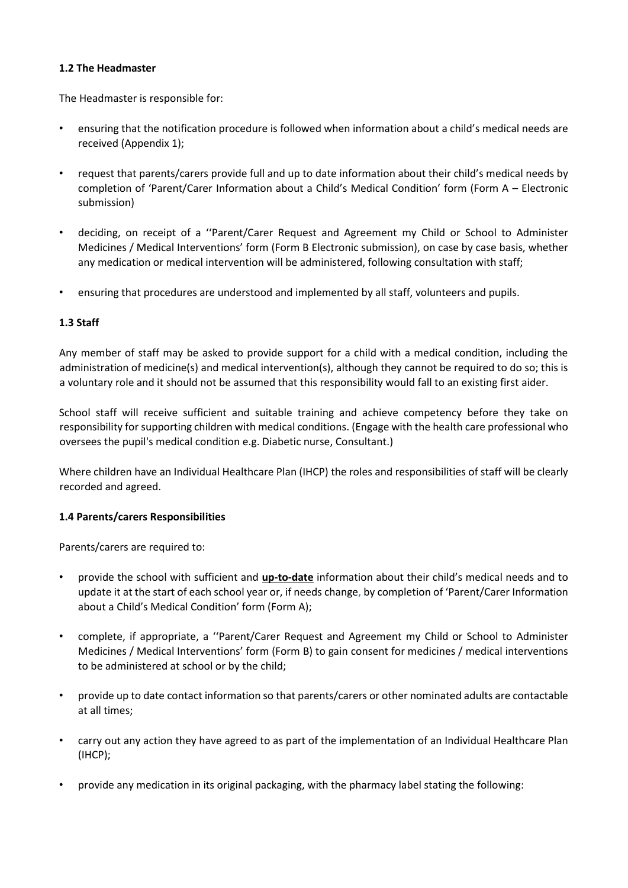### **1.2 The Headmaster**

The Headmaster is responsible for:

- ensuring that the notification procedure is followed when information about a child's medical needs are received (Appendix 1);
- request that parents/carers provide full and up to date information about their child's medical needs by completion of 'Parent/Carer Information about a Child's Medical Condition' form (Form A – Electronic submission)
- deciding, on receipt of a ''Parent/Carer Request and Agreement my Child or School to Administer Medicines / Medical Interventions' form (Form B Electronic submission), on case by case basis, whether any medication or medical intervention will be administered, following consultation with staff;
- ensuring that procedures are understood and implemented by all staff, volunteers and pupils.

### **1.3 Staff**

Any member of staff may be asked to provide support for a child with a medical condition, including the administration of medicine(s) and medical intervention(s), although they cannot be required to do so; this is a voluntary role and it should not be assumed that this responsibility would fall to an existing first aider.

School staff will receive sufficient and suitable training and achieve competency before they take on responsibility for supporting children with medical conditions. (Engage with the health care professional who oversees the pupil's medical condition e.g. Diabetic nurse, Consultant.)

Where children have an Individual Healthcare Plan (IHCP) the roles and responsibilities of staff will be clearly recorded and agreed.

### **1.4 Parents/carers Responsibilities**

Parents/carers are required to:

- provide the school with sufficient and **up-to-date** information about their child's medical needs and to update it at the start of each school year or, if needs change, by completion of 'Parent/Carer Information about a Child's Medical Condition' form (Form A);
- complete, if appropriate, a ''Parent/Carer Request and Agreement my Child or School to Administer Medicines / Medical Interventions' form (Form B) to gain consent for medicines / medical interventions to be administered at school or by the child;
- provide up to date contact information so that parents/carers or other nominated adults are contactable at all times;
- carry out any action they have agreed to as part of the implementation of an Individual Healthcare Plan (IHCP);
- provide any medication in its original packaging, with the pharmacy label stating the following: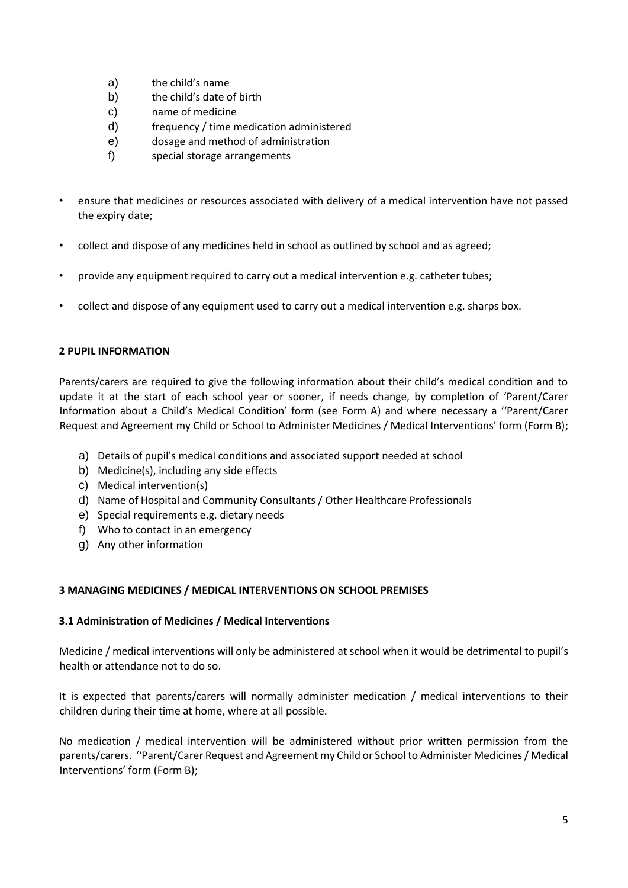- a) the child's name
- b) the child's date of birth
- c) name of medicine
- d) frequency / time medication administered
- e) dosage and method of administration
- f) special storage arrangements
- ensure that medicines or resources associated with delivery of a medical intervention have not passed the expiry date;
- collect and dispose of any medicines held in school as outlined by school and as agreed;
- provide any equipment required to carry out a medical intervention e.g. catheter tubes;
- collect and dispose of any equipment used to carry out a medical intervention e.g. sharps box.

### **2 PUPIL INFORMATION**

Parents/carers are required to give the following information about their child's medical condition and to update it at the start of each school year or sooner, if needs change, by completion of 'Parent/Carer Information about a Child's Medical Condition' form (see Form A) and where necessary a ''Parent/Carer Request and Agreement my Child or School to Administer Medicines / Medical Interventions' form (Form B);

- a) Details of pupil's medical conditions and associated support needed at school
- b) Medicine(s), including any side effects
- c) Medical intervention(s)
- d) Name of Hospital and Community Consultants / Other Healthcare Professionals
- e) Special requirements e.g. dietary needs
- f) Who to contact in an emergency
- g) Any other information

### **3 MANAGING MEDICINES / MEDICAL INTERVENTIONS ON SCHOOL PREMISES**

### **3.1 Administration of Medicines / Medical Interventions**

Medicine / medical interventions will only be administered at school when it would be detrimental to pupil's health or attendance not to do so.

It is expected that parents/carers will normally administer medication / medical interventions to their children during their time at home, where at all possible.

No medication / medical intervention will be administered without prior written permission from the parents/carers. ''Parent/Carer Request and Agreement my Child or School to Administer Medicines/ Medical Interventions' form (Form B);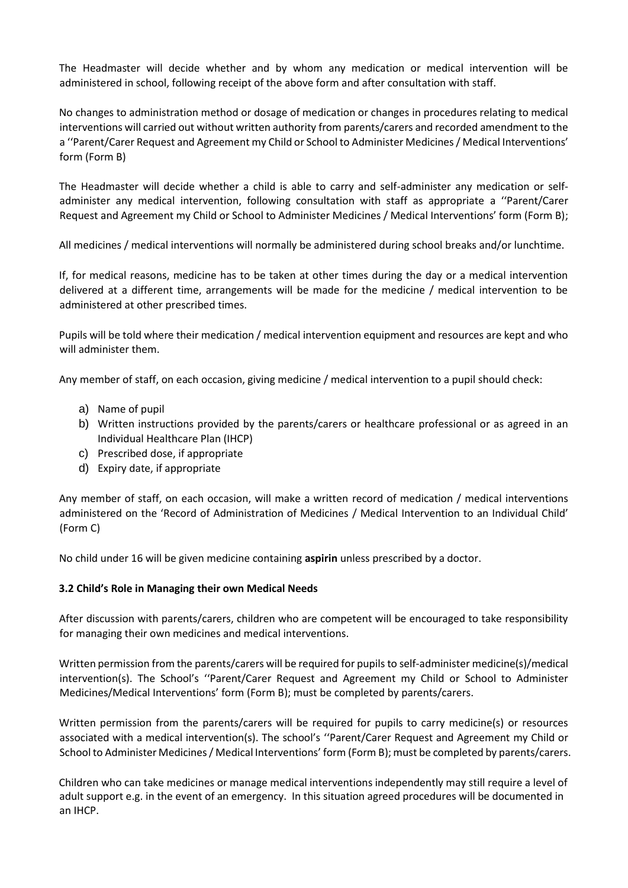The Headmaster will decide whether and by whom any medication or medical intervention will be administered in school, following receipt of the above form and after consultation with staff.

No changes to administration method or dosage of medication or changes in procedures relating to medical interventions will carried out without written authority from parents/carers and recorded amendment to the a ''Parent/Carer Request and Agreement my Child or School to Administer Medicines / Medical Interventions' form (Form B)

The Headmaster will decide whether a child is able to carry and self-administer any medication or selfadminister any medical intervention, following consultation with staff as appropriate a ''Parent/Carer Request and Agreement my Child or School to Administer Medicines / Medical Interventions' form (Form B);

All medicines / medical interventions will normally be administered during school breaks and/or lunchtime.

If, for medical reasons, medicine has to be taken at other times during the day or a medical intervention delivered at a different time, arrangements will be made for the medicine / medical intervention to be administered at other prescribed times.

Pupils will be told where their medication / medical intervention equipment and resources are kept and who will administer them.

Any member of staff, on each occasion, giving medicine / medical intervention to a pupil should check:

- a) Name of pupil
- b) Written instructions provided by the parents/carers or healthcare professional or as agreed in an Individual Healthcare Plan (IHCP)
- c) Prescribed dose, if appropriate
- d) Expiry date, if appropriate

Any member of staff, on each occasion, will make a written record of medication / medical interventions administered on the 'Record of Administration of Medicines / Medical Intervention to an Individual Child' (Form C)

No child under 16 will be given medicine containing **aspirin** unless prescribed by a doctor.

#### **3.2 Child's Role in Managing their own Medical Needs**

After discussion with parents/carers, children who are competent will be encouraged to take responsibility for managing their own medicines and medical interventions.

Written permission from the parents/carers will be required for pupils to self-administer medicine(s)/medical intervention(s). The School's ''Parent/Carer Request and Agreement my Child or School to Administer Medicines/Medical Interventions' form (Form B); must be completed by parents/carers.

Written permission from the parents/carers will be required for pupils to carry medicine(s) or resources associated with a medical intervention(s). The school's ''Parent/Carer Request and Agreement my Child or School to Administer Medicines / Medical Interventions' form (Form B); must be completed by parents/carers.

Children who can take medicines or manage medical interventions independently may still require a level of adult support e.g. in the event of an emergency. In this situation agreed procedures will be documented in an IHCP.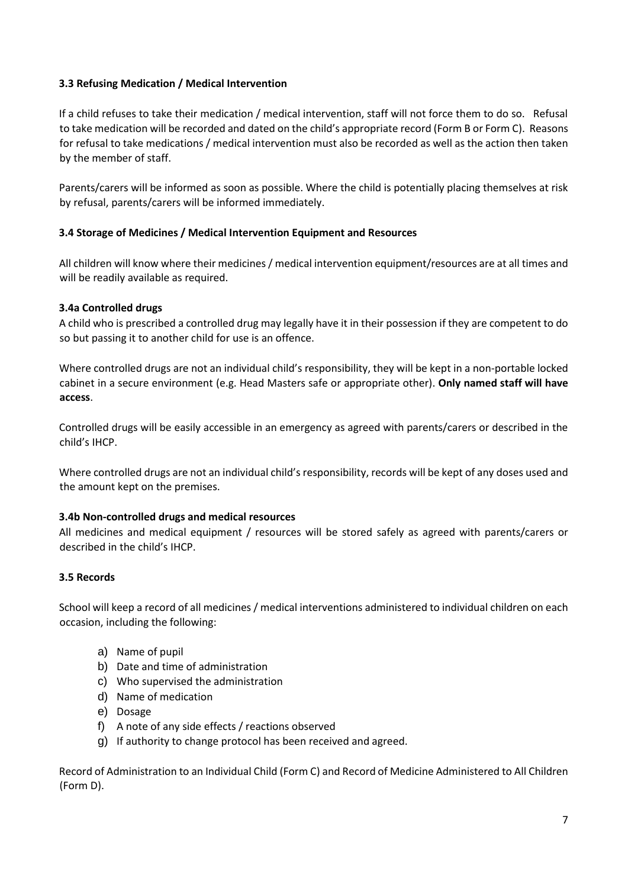### **3.3 Refusing Medication / Medical Intervention**

If a child refuses to take their medication / medical intervention, staff will not force them to do so. Refusal to take medication will be recorded and dated on the child's appropriate record (Form B or Form C). Reasons for refusal to take medications / medical intervention must also be recorded as well as the action then taken by the member of staff.

Parents/carers will be informed as soon as possible. Where the child is potentially placing themselves at risk by refusal, parents/carers will be informed immediately.

### **3.4 Storage of Medicines / Medical Intervention Equipment and Resources**

All children will know where their medicines / medical intervention equipment/resources are at all times and will be readily available as required.

### **3.4a Controlled drugs**

A child who is prescribed a controlled drug may legally have it in their possession if they are competent to do so but passing it to another child for use is an offence.

Where controlled drugs are not an individual child's responsibility, they will be kept in a non-portable locked cabinet in a secure environment (e.g. Head Masters safe or appropriate other). **Only named staff will have access**.

Controlled drugs will be easily accessible in an emergency as agreed with parents/carers or described in the child's IHCP.

Where controlled drugs are not an individual child's responsibility, records will be kept of any doses used and the amount kept on the premises.

#### **3.4b Non-controlled drugs and medical resources**

All medicines and medical equipment / resources will be stored safely as agreed with parents/carers or described in the child's IHCP.

#### **3.5 Records**

School will keep a record of all medicines / medical interventions administered to individual children on each occasion, including the following:

- a) Name of pupil
- b) Date and time of administration
- c) Who supervised the administration
- d) Name of medication
- e) Dosage
- f) A note of any side effects / reactions observed
- g) If authority to change protocol has been received and agreed.

Record of Administration to an Individual Child (Form C) and Record of Medicine Administered to All Children (Form D).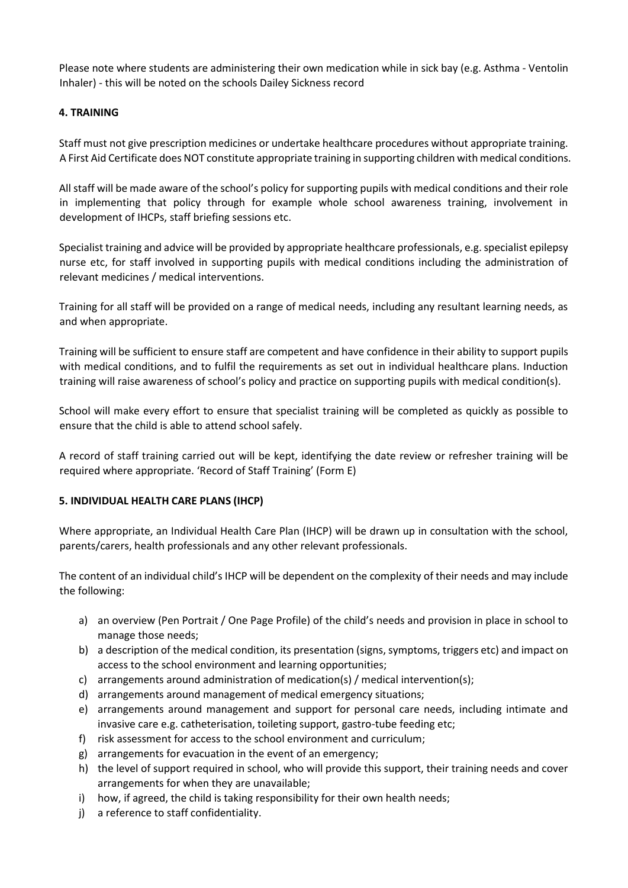Please note where students are administering their own medication while in sick bay (e.g. Asthma - Ventolin Inhaler) - this will be noted on the schools Dailey Sickness record

### **4. TRAINING**

Staff must not give prescription medicines or undertake healthcare procedures without appropriate training. A First Aid Certificate does NOT constitute appropriate training in supporting children with medical conditions.

All staff will be made aware of the school's policy for supporting pupils with medical conditions and their role in implementing that policy through for example whole school awareness training, involvement in development of IHCPs, staff briefing sessions etc.

Specialist training and advice will be provided by appropriate healthcare professionals, e.g. specialist epilepsy nurse etc, for staff involved in supporting pupils with medical conditions including the administration of relevant medicines / medical interventions.

Training for all staff will be provided on a range of medical needs, including any resultant learning needs, as and when appropriate.

Training will be sufficient to ensure staff are competent and have confidence in their ability to support pupils with medical conditions, and to fulfil the requirements as set out in individual healthcare plans. Induction training will raise awareness of school's policy and practice on supporting pupils with medical condition(s).

School will make every effort to ensure that specialist training will be completed as quickly as possible to ensure that the child is able to attend school safely.

A record of staff training carried out will be kept, identifying the date review or refresher training will be required where appropriate. 'Record of Staff Training' (Form E)

### **5. INDIVIDUAL HEALTH CARE PLANS (IHCP)**

Where appropriate, an Individual Health Care Plan (IHCP) will be drawn up in consultation with the school, parents/carers, health professionals and any other relevant professionals.

The content of an individual child's IHCP will be dependent on the complexity of their needs and may include the following:

- a) an overview (Pen Portrait / One Page Profile) of the child's needs and provision in place in school to manage those needs;
- b) a description of the medical condition, its presentation (signs, symptoms, triggers etc) and impact on access to the school environment and learning opportunities;
- c) arrangements around administration of medication(s) / medical intervention(s);
- d) arrangements around management of medical emergency situations;
- e) arrangements around management and support for personal care needs, including intimate and invasive care e.g. catheterisation, toileting support, gastro-tube feeding etc;
- f) risk assessment for access to the school environment and curriculum;
- g) arrangements for evacuation in the event of an emergency;
- h) the level of support required in school, who will provide this support, their training needs and cover arrangements for when they are unavailable;
- i) how, if agreed, the child is taking responsibility for their own health needs;
- j) a reference to staff confidentiality.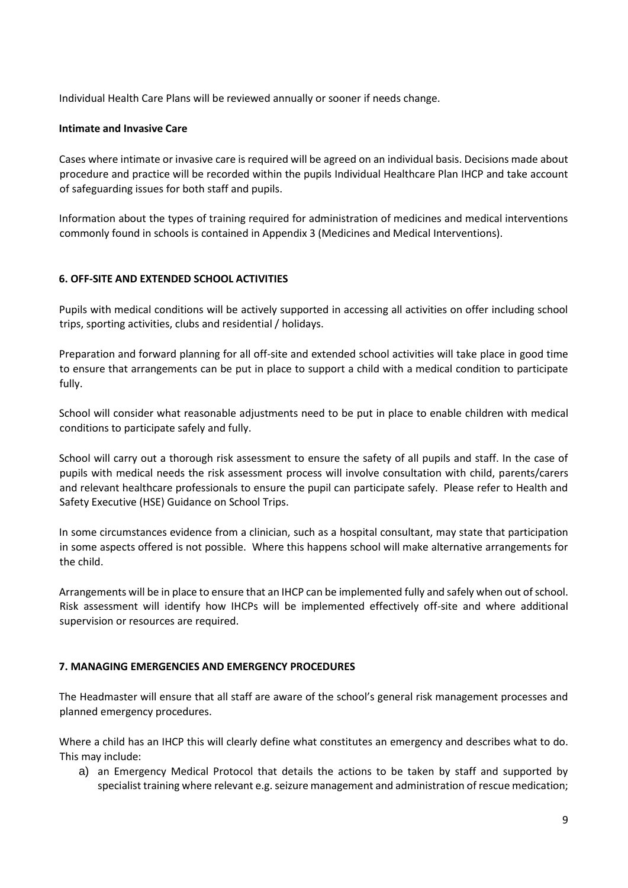Individual Health Care Plans will be reviewed annually or sooner if needs change.

### **Intimate and Invasive Care**

Cases where intimate or invasive care is required will be agreed on an individual basis. Decisions made about procedure and practice will be recorded within the pupils Individual Healthcare Plan IHCP and take account of safeguarding issues for both staff and pupils.

Information about the types of training required for administration of medicines and medical interventions commonly found in schools is contained in Appendix 3 (Medicines and Medical Interventions).

### **6. OFF-SITE AND EXTENDED SCHOOL ACTIVITIES**

Pupils with medical conditions will be actively supported in accessing all activities on offer including school trips, sporting activities, clubs and residential / holidays.

Preparation and forward planning for all off-site and extended school activities will take place in good time to ensure that arrangements can be put in place to support a child with a medical condition to participate fully.

School will consider what reasonable adjustments need to be put in place to enable children with medical conditions to participate safely and fully.

School will carry out a thorough risk assessment to ensure the safety of all pupils and staff. In the case of pupils with medical needs the risk assessment process will involve consultation with child, parents/carers and relevant healthcare professionals to ensure the pupil can participate safely. Please refer to Health and Safety Executive (HSE) Guidance on School Trips.

In some circumstances evidence from a clinician, such as a hospital consultant, may state that participation in some aspects offered is not possible. Where this happens school will make alternative arrangements for the child.

Arrangements will be in place to ensure that an IHCP can be implemented fully and safely when out of school. Risk assessment will identify how IHCPs will be implemented effectively off-site and where additional supervision or resources are required.

### **7. MANAGING EMERGENCIES AND EMERGENCY PROCEDURES**

The Headmaster will ensure that all staff are aware of the school's general risk management processes and planned emergency procedures.

Where a child has an IHCP this will clearly define what constitutes an emergency and describes what to do. This may include:

a) an Emergency Medical Protocol that details the actions to be taken by staff and supported by specialist training where relevant e.g. seizure management and administration of rescue medication;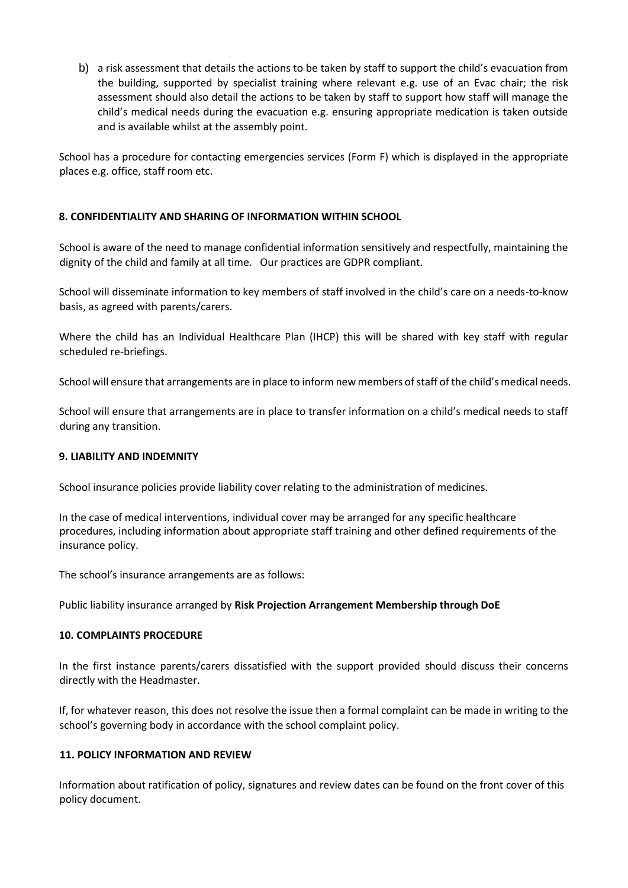b) a risk assessment that details the actions to be taken by staff to support the child's evacuation from the building, supported by specialist training where relevant e.g. use of an Evac chair; the risk assessment should also detail the actions to be taken by staff to support how staff will manage the child's medical needs during the evacuation e.g. ensuring appropriate medication is taken outside and is available whilst at the assembly point.

School has a procedure for contacting emergencies services (Form F) which is displayed in the appropriate places e.g. office, staff room etc.

### **8. CONFIDENTIALITY AND SHARING OF INFORMATION WITHIN SCHOOL**

School is aware of the need to manage confidential information sensitively and respectfully, maintaining the dignity of the child and family at all time. Our practices are GDPR compliant.

School will disseminate information to key members of staff involved in the child's care on a needs-to-know basis, as agreed with parents/carers.

Where the child has an Individual Healthcare Plan (IHCP) this will be shared with key staff with regular scheduled re-briefings.

School will ensure that arrangements are in place to inform new members of staff of the child's medical needs.

School will ensure that arrangements are in place to transfer information on a child's medical needs to staff during any transition.

### **9. LIABILITY AND INDEMNITY**

School insurance policies provide liability cover relating to the administration of medicines.

In the case of medical interventions, individual cover may be arranged for any specific healthcare procedures, including information about appropriate staff training and other defined requirements of the insurance policy.

The school's insurance arrangements are as follows:

Public liability insurance arranged by **Risk Projection Arrangement Membership through DoE**

#### **10. COMPLAINTS PROCEDURE**

In the first instance parents/carers dissatisfied with the support provided should discuss their concerns directly with the Headmaster.

If, for whatever reason, this does not resolve the issue then a formal complaint can be made in writing to the school's governing body in accordance with the school complaint policy.

### **11. POLICY INFORMATION AND REVIEW**

Information about ratification of policy, signatures and review dates can be found on the front cover of this policy document.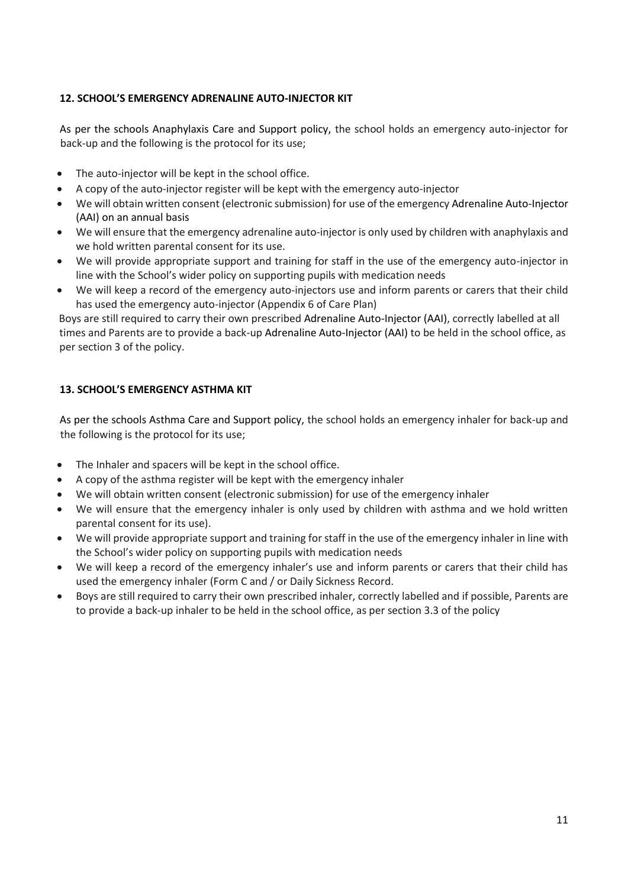### **12. SCHOOL'S EMERGENCY ADRENALINE AUTO-INJECTOR KIT**

As per the schools Anaphylaxis Care and Support policy, the school holds an emergency auto-injector for back-up and the following is the protocol for its use;

- The auto-injector will be kept in the school office.
- A copy of the auto-injector register will be kept with the emergency auto-injector
- We will obtain written consent (electronic submission) for use of the emergency Adrenaline Auto-Injector (AAI) on an annual basis
- We will ensure that the emergency adrenaline auto-injector is only used by children with anaphylaxis and we hold written parental consent for its use.
- We will provide appropriate support and training for staff in the use of the emergency auto-injector in line with the School's wider policy on supporting pupils with medication needs
- We will keep a record of the emergency auto-injectors use and inform parents or carers that their child has used the emergency auto-injector (Appendix 6 of Care Plan)

Boys are still required to carry their own prescribed Adrenaline Auto-Injector (AAI), correctly labelled at all times and Parents are to provide a back-up Adrenaline Auto-Injector (AAI) to be held in the school office, as per section 3 of the policy.

### **13. SCHOOL'S EMERGENCY ASTHMA KIT**

As per the schools Asthma Care and Support policy, the school holds an emergency inhaler for back-up and the following is the protocol for its use;

- The Inhaler and spacers will be kept in the school office.
- A copy of the asthma register will be kept with the emergency inhaler
- We will obtain written consent (electronic submission) for use of the emergency inhaler
- We will ensure that the emergency inhaler is only used by children with asthma and we hold written parental consent for its use).
- We will provide appropriate support and training for staff in the use of the emergency inhaler in line with the School's wider policy on supporting pupils with medication needs
- We will keep a record of the emergency inhaler's use and inform parents or carers that their child has used the emergency inhaler (Form C and / or Daily Sickness Record.
- Boys are still required to carry their own prescribed inhaler, correctly labelled and if possible, Parents are to provide a back-up inhaler to be held in the school office, as per section 3.3 of the policy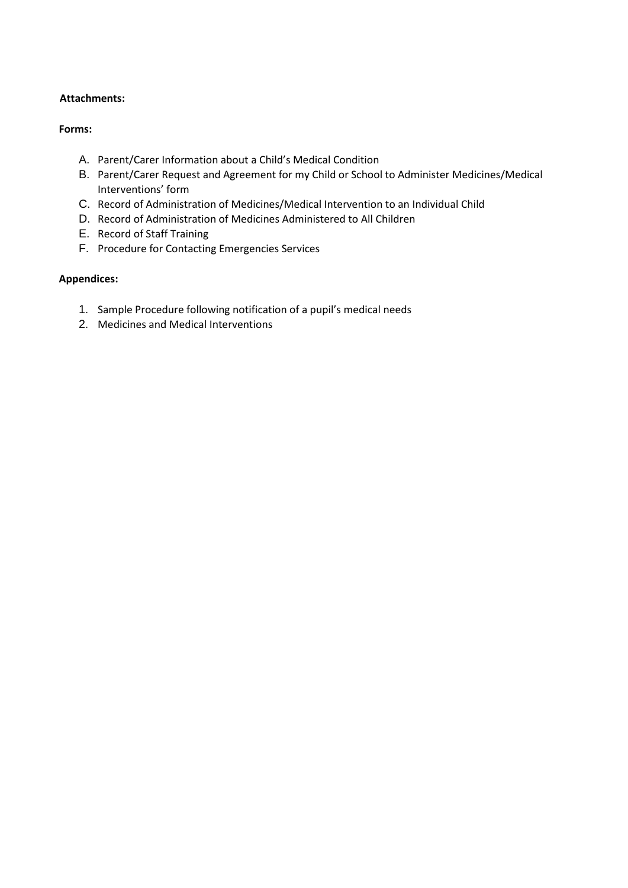### **Attachments:**

### **Forms:**

- A. Parent/Carer Information about a Child's Medical Condition
- B. Parent/Carer Request and Agreement for my Child or School to Administer Medicines/Medical Interventions' form
- C. Record of Administration of Medicines/Medical Intervention to an Individual Child
- D. Record of Administration of Medicines Administered to All Children
- E. Record of Staff Training
- F. Procedure for Contacting Emergencies Services

### **Appendices:**

- 1. Sample Procedure following notification of a pupil's medical needs
- 2. Medicines and Medical Interventions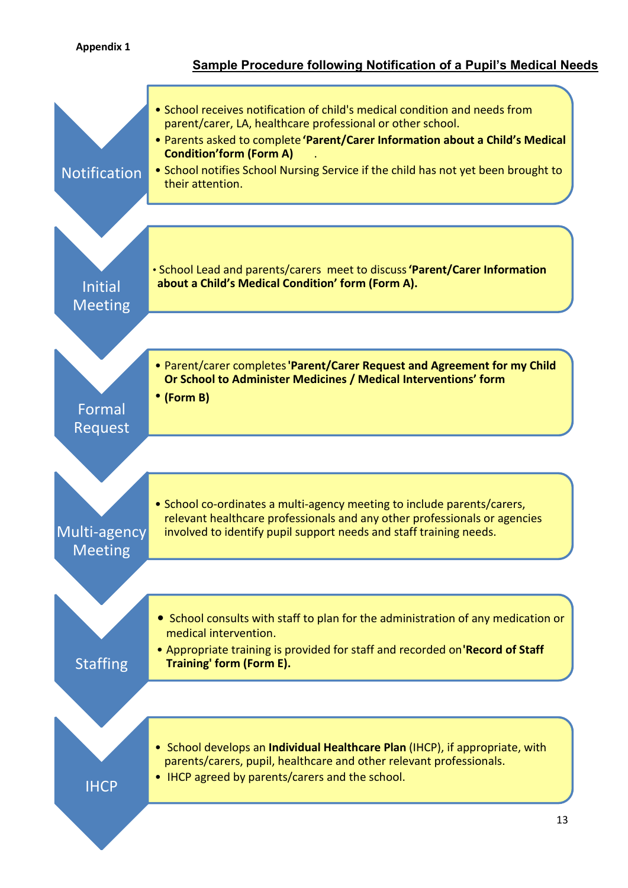### **Appendix 1**

### **Sample Procedure following Notification of a Pupil's Medical Needs**

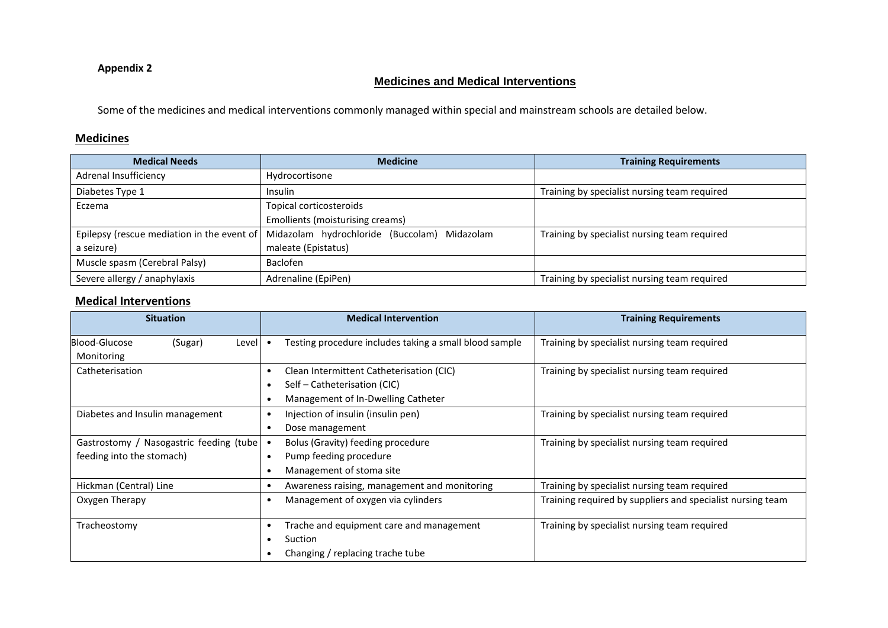### **Appendix 2**

### **Medicines and Medical Interventions**

Some of the medicines and medical interventions commonly managed within special and mainstream schools are detailed below.

### **Medicines**

| <b>Medical Needs</b>          | <b>Medicine</b>                                                                           | <b>Training Requirements</b>                 |
|-------------------------------|-------------------------------------------------------------------------------------------|----------------------------------------------|
| Adrenal Insufficiency         | Hydrocortisone                                                                            |                                              |
| Diabetes Type 1               | Insulin                                                                                   | Training by specialist nursing team required |
| Eczema                        | Topical corticosteroids                                                                   |                                              |
|                               | Emollients (moisturising creams)                                                          |                                              |
|                               | Epilepsy (rescue mediation in the event of   Midazolam hydrochloride (Buccolam) Midazolam | Training by specialist nursing team required |
| a seizure)                    | maleate (Epistatus)                                                                       |                                              |
| Muscle spasm (Cerebral Palsy) | Baclofen                                                                                  |                                              |
| Severe allergy / anaphylaxis  | Adrenaline (EpiPen)                                                                       | Training by specialist nursing team required |

### **Medical Interventions**

| <b>Situation</b>                                                     | <b>Medical Intervention</b>                                                                                    | <b>Training Requirements</b>                               |
|----------------------------------------------------------------------|----------------------------------------------------------------------------------------------------------------|------------------------------------------------------------|
| Blood-Glucose<br>(Sugar)<br>Level<br>Monitoring                      | Testing procedure includes taking a small blood sample                                                         | Training by specialist nursing team required               |
| Catheterisation                                                      | Clean Intermittent Catheterisation (CIC)<br>Self – Catheterisation (CIC)<br>Management of In-Dwelling Catheter | Training by specialist nursing team required               |
| Diabetes and Insulin management                                      | Injection of insulin (insulin pen)<br>Dose management<br>٠                                                     | Training by specialist nursing team required               |
| Gastrostomy / Nasogastric feeding (tube<br>feeding into the stomach) | Bolus (Gravity) feeding procedure<br>Pump feeding procedure<br>Management of stoma site                        | Training by specialist nursing team required               |
| Hickman (Central) Line                                               | Awareness raising, management and monitoring<br>٠                                                              | Training by specialist nursing team required               |
| Oxygen Therapy                                                       | Management of oxygen via cylinders                                                                             | Training required by suppliers and specialist nursing team |
| Tracheostomy                                                         | Trache and equipment care and management<br>Suction<br>Changing / replacing trache tube                        | Training by specialist nursing team required               |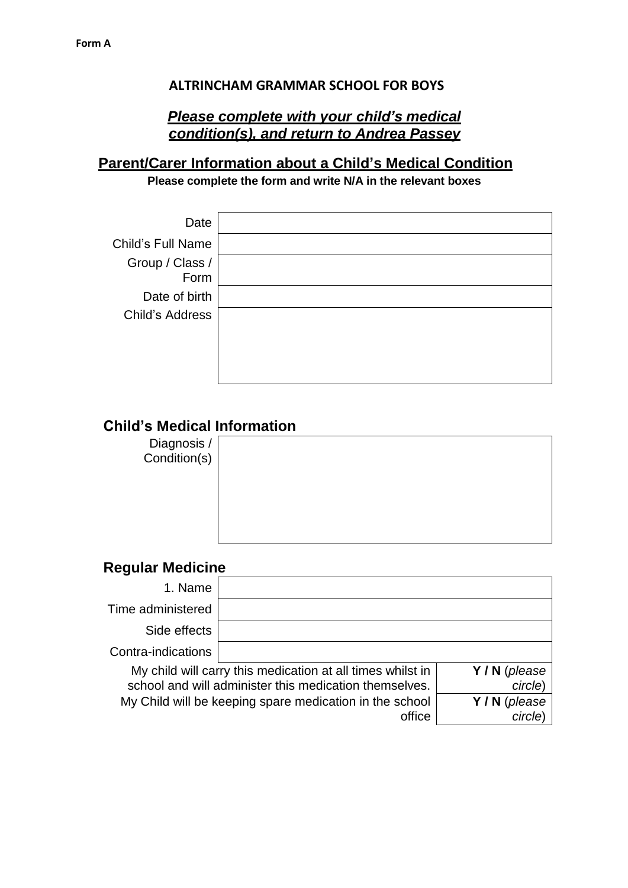### **ALTRINCHAM GRAMMAR SCHOOL FOR BOYS**

# *Please complete with your child's medical condition(s), and return to Andrea Passey*

# **Parent/Carer Information about a Child's Medical Condition**

**Please complete the form and write N/A in the relevant boxes**

| Date                     |  |
|--------------------------|--|
| <b>Child's Full Name</b> |  |
| Group / Class /<br>Form  |  |
| Date of birth            |  |
| Child's Address          |  |
|                          |  |
|                          |  |
|                          |  |

# **Child's Medical Information**

Diagnosis / Condition(s)

# **Regular Medicine**

| 1. Name                                                                                                              |                                                                   |                          |
|----------------------------------------------------------------------------------------------------------------------|-------------------------------------------------------------------|--------------------------|
| Time administered                                                                                                    |                                                                   |                          |
| Side effects                                                                                                         |                                                                   |                          |
| Contra-indications                                                                                                   |                                                                   |                          |
| My child will carry this medication at all times whilst in<br>school and will administer this medication themselves. |                                                                   | Y / N (please<br>circle) |
|                                                                                                                      | My Child will be keeping spare medication in the school<br>office | Y / N (please<br>circle) |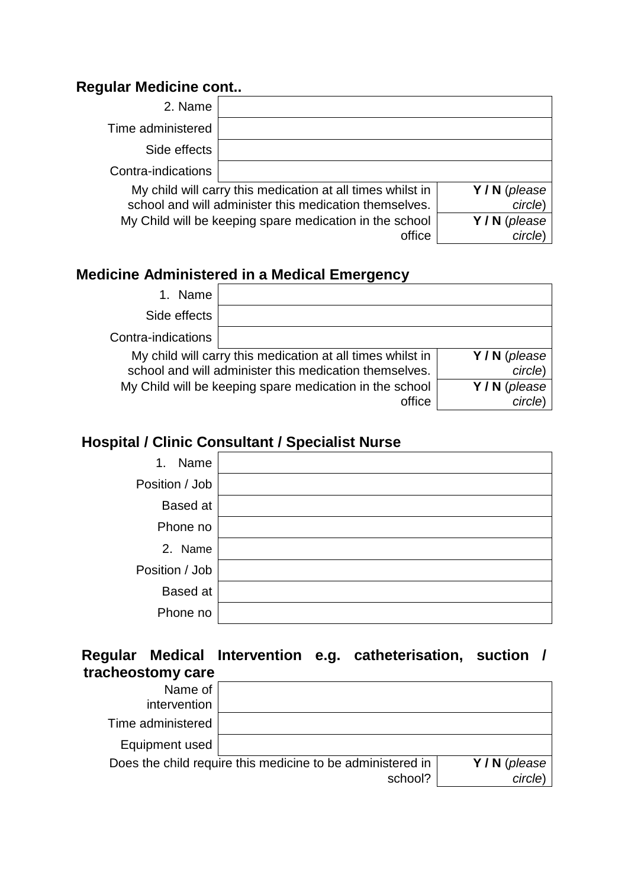# **Regular Medicine cont..**

| 2. Name                                                                                                                                        |                                                                   |                          |
|------------------------------------------------------------------------------------------------------------------------------------------------|-------------------------------------------------------------------|--------------------------|
| Time administered                                                                                                                              |                                                                   |                          |
| Side effects                                                                                                                                   |                                                                   |                          |
| Contra-indications                                                                                                                             |                                                                   |                          |
| My child will carry this medication at all times whilst in<br>Y/N (please<br>school and will administer this medication themselves.<br>circle) |                                                                   |                          |
|                                                                                                                                                | My Child will be keeping spare medication in the school<br>office | Y / N (please<br>circle) |

# **Medicine Administered in a Medical Emergency**

| 1. Name            |                                                                                                                      |                          |
|--------------------|----------------------------------------------------------------------------------------------------------------------|--------------------------|
| Side effects       |                                                                                                                      |                          |
| Contra-indications |                                                                                                                      |                          |
|                    | My child will carry this medication at all times whilst in<br>school and will administer this medication themselves. | Y/N (please<br>circle)   |
|                    | My Child will be keeping spare medication in the school<br>office                                                    | Y / N (please<br>circle) |

# **Hospital / Clinic Consultant / Specialist Nurse**

| Name<br>1.      |  |
|-----------------|--|
| Position / Job  |  |
| <b>Based at</b> |  |
| Phone no        |  |
| 2. Name         |  |
| Position / Job  |  |
| <b>Based</b> at |  |
| Phone no        |  |

# **Regular Medical Intervention e.g. catheterisation, suction / tracheostomy care**

| Name of<br>intervention |                                                            |             |
|-------------------------|------------------------------------------------------------|-------------|
| Time administered       |                                                            |             |
| Equipment used          |                                                            |             |
|                         | Does the child require this medicine to be administered in | Y/N (please |
|                         | school?                                                    | circle)     |
|                         |                                                            |             |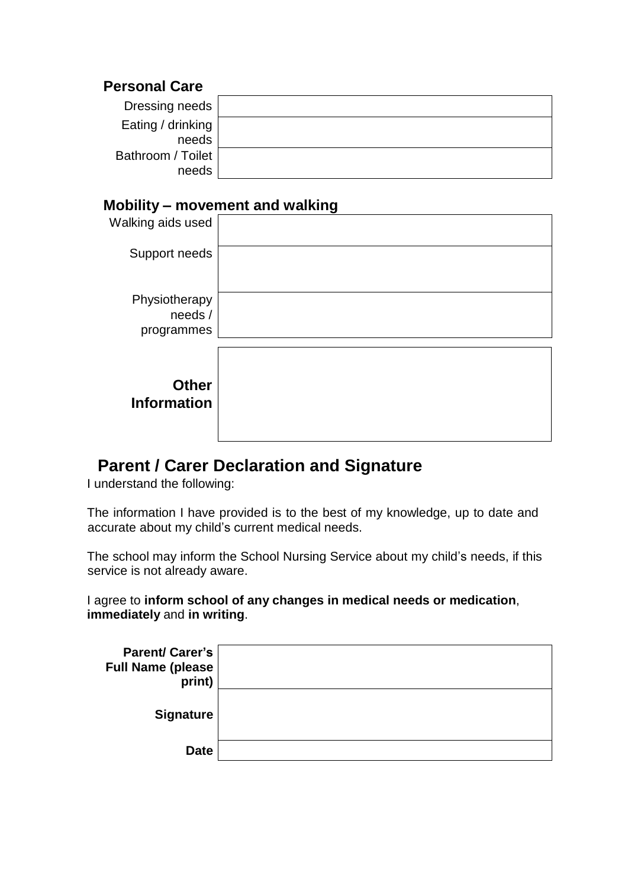# **Personal Care**

| Dressing needs    |  |
|-------------------|--|
| Eating / drinking |  |
| needs             |  |
| Bathroom / Toilet |  |
| needs             |  |

# **Mobility – movement and walking**

| Walking aids used                      |  |
|----------------------------------------|--|
| Support needs                          |  |
| Physiotherapy<br>needs /<br>programmes |  |
| <b>Other</b><br><b>Information</b>     |  |

# **Parent / Carer Declaration and Signature**

I understand the following:

The information I have provided is to the best of my knowledge, up to date and accurate about my child's current medical needs.

The school may inform the School Nursing Service about my child's needs, if this service is not already aware.

I agree to **inform school of any changes in medical needs or medication**, **immediately** and **in writing**.

| <b>Parent/Carer's</b><br><b>Full Name (please</b><br>print) |  |
|-------------------------------------------------------------|--|
| <b>Signature</b>                                            |  |
| <b>Date</b>                                                 |  |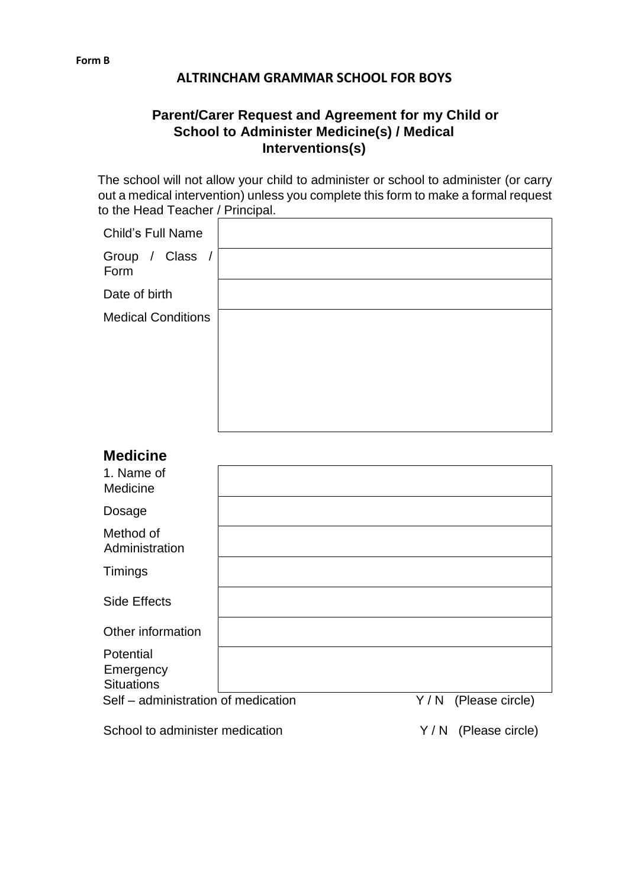### **ALTRINCHAM GRAMMAR SCHOOL FOR BOYS**

# **Parent/Carer Request and Agreement for my Child or School to Administer Medicine(s) / Medical Interventions(s)**

The school will not allow your child to administer or school to administer (or carry out a medical intervention) unless you complete this form to make a formal request to the Head Teacher / Principal.

| Child's Full Name         |  |
|---------------------------|--|
| Group / Class /<br>Form   |  |
| Date of birth             |  |
| <b>Medical Conditions</b> |  |
|                           |  |
|                           |  |
|                           |  |
|                           |  |

# **Medicine**

| 1. Name of<br>Medicine                      |     |                 |
|---------------------------------------------|-----|-----------------|
| Dosage                                      |     |                 |
| Method of<br>Administration                 |     |                 |
| Timings                                     |     |                 |
| Side Effects                                |     |                 |
| Other information                           |     |                 |
| Potential<br>Emergency<br><b>Situations</b> |     |                 |
| Self – administration of medication         | Y/N | (Please circle) |

School to administer medication **Y** / N (Please circle)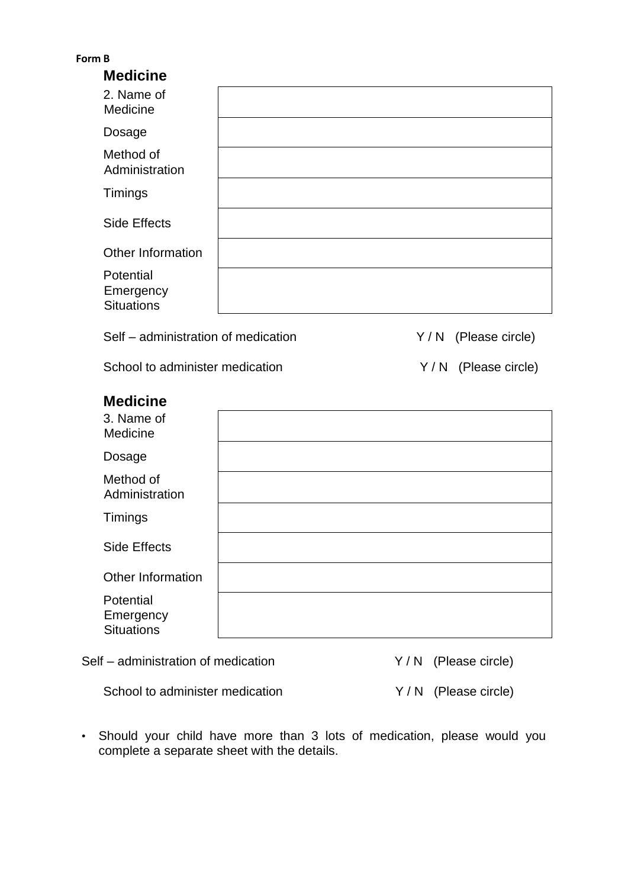| -orm | Н |
|------|---|
|      |   |

| <b>Medicine</b>                             |  |
|---------------------------------------------|--|
| 2. Name of<br>Medicine                      |  |
| Dosage                                      |  |
| Method of<br>Administration                 |  |
| Timings                                     |  |
| Side Effects                                |  |
| Other Information                           |  |
| Potential<br>Emergency<br><b>Situations</b> |  |

Self – administration of medication  $Y/N$  (Please circle)

School to administer medication  $Y/N$  (Please circle)

# **Medicine**

| 3. Name of<br>Medicine                      |  |
|---------------------------------------------|--|
| Dosage                                      |  |
| Method of<br>Administration                 |  |
| Timings                                     |  |
| Side Effects                                |  |
| Other Information                           |  |
| Potential<br>Emergency<br><b>Situations</b> |  |

Self – administration of medication  $Y/N$  (Please circle)

School to administer medication Y / N (Please circle)

• Should your child have more than 3 lots of medication, please would you complete a separate sheet with the details.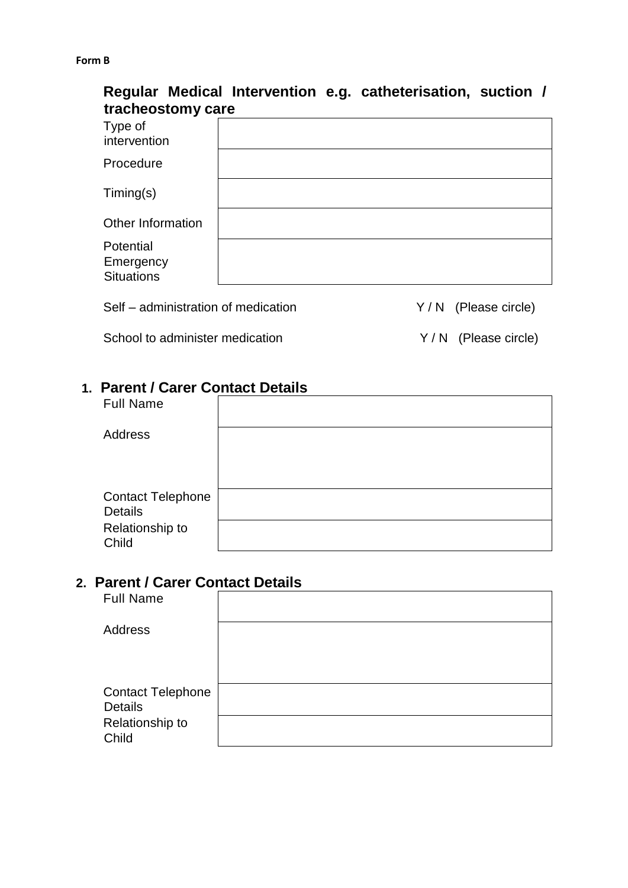#### **Form B**

# **Regular Medical Intervention e.g. catheterisation, suction / tracheostomy care**

| Type of<br>intervention                     |  |
|---------------------------------------------|--|
| Procedure                                   |  |
| $T$ iming $(s)$                             |  |
| Other Information                           |  |
| Potential<br>Emergency<br><b>Situations</b> |  |

Self – administration of medication  $Y/N$  (Please circle)

School to administer medication  $Y/N$  (Please circle)

# **1. Parent / Carer Contact Details**

| <b>Full Name</b>         |  |
|--------------------------|--|
| <b>Address</b>           |  |
|                          |  |
|                          |  |
| <b>Contact Telephone</b> |  |
| <b>Details</b>           |  |
| Relationship to<br>Child |  |

### **2. Parent / Carer Contact Details**

| <b>Full Name</b>         |  |
|--------------------------|--|
| Address                  |  |
|                          |  |
|                          |  |
| <b>Contact Telephone</b> |  |
| <b>Details</b>           |  |
| Relationship to          |  |
| Child                    |  |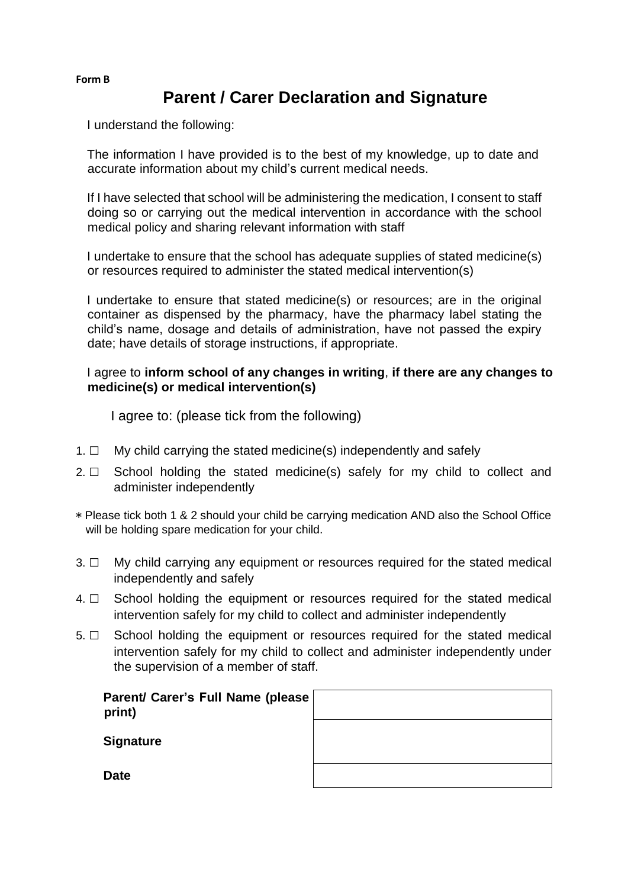### **Form B**

# **Parent / Carer Declaration and Signature**

I understand the following:

The information I have provided is to the best of my knowledge, up to date and accurate information about my child's current medical needs.

If I have selected that school will be administering the medication, I consent to staff doing so or carrying out the medical intervention in accordance with the school medical policy and sharing relevant information with staff

I undertake to ensure that the school has adequate supplies of stated medicine(s) or resources required to administer the stated medical intervention(s)

I undertake to ensure that stated medicine(s) or resources; are in the original container as dispensed by the pharmacy, have the pharmacy label stating the child's name, dosage and details of administration, have not passed the expiry date; have details of storage instructions, if appropriate.

### I agree to **inform school of any changes in writing**, **if there are any changes to medicine(s) or medical intervention(s)**

I agree to: (please tick from the following)

- 1.  $\Box$  My child carrying the stated medicine(s) independently and safely
- 2.  $\Box$  School holding the stated medicine(s) safely for my child to collect and administer independently
- \* Please tick both 1 & 2 should your child be carrying medication AND also the School Office will be holding spare medication for your child.
- 3. □ My child carrying any equipment or resources required for the stated medical independently and safely
- 4. □ School holding the equipment or resources required for the stated medical intervention safely for my child to collect and administer independently
- 5. □ School holding the equipment or resources required for the stated medical intervention safely for my child to collect and administer independently under the supervision of a member of staff.

| Parent/ Carer's Full Name (please<br>print) |  |
|---------------------------------------------|--|
| <b>Signature</b>                            |  |
| <b>Date</b>                                 |  |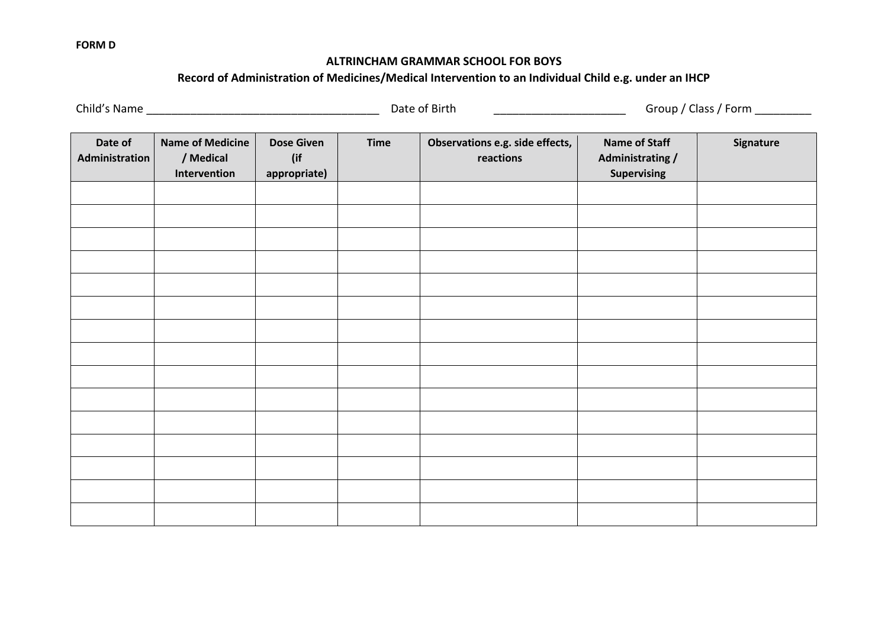#### **FORM D**

### **ALTRINCHAM GRAMMAR SCHOOL FOR BOYS**

### **Record of Administration of Medicines/Medical Intervention to an Individual Child e.g. under an IHCP**

Child's Name \_\_\_\_\_\_\_\_\_\_\_\_\_\_\_\_\_\_\_\_\_\_\_\_\_\_\_\_\_\_\_\_\_\_\_\_\_ Date of Birth \_\_\_\_\_\_\_\_\_\_\_\_\_\_\_\_\_\_\_\_\_ Group / Class / Form \_\_\_\_\_\_\_\_\_

| Date of<br>Administration | <b>Name of Medicine</b><br>/ Medical<br>Intervention | <b>Dose Given</b><br>(if<br>appropriate) | <b>Time</b> | Observations e.g. side effects,<br>reactions | <b>Name of Staff</b><br><b>Administrating /</b><br>Supervising | Signature |
|---------------------------|------------------------------------------------------|------------------------------------------|-------------|----------------------------------------------|----------------------------------------------------------------|-----------|
|                           |                                                      |                                          |             |                                              |                                                                |           |
|                           |                                                      |                                          |             |                                              |                                                                |           |
|                           |                                                      |                                          |             |                                              |                                                                |           |
|                           |                                                      |                                          |             |                                              |                                                                |           |
|                           |                                                      |                                          |             |                                              |                                                                |           |
|                           |                                                      |                                          |             |                                              |                                                                |           |
|                           |                                                      |                                          |             |                                              |                                                                |           |
|                           |                                                      |                                          |             |                                              |                                                                |           |
|                           |                                                      |                                          |             |                                              |                                                                |           |
|                           |                                                      |                                          |             |                                              |                                                                |           |
|                           |                                                      |                                          |             |                                              |                                                                |           |
|                           |                                                      |                                          |             |                                              |                                                                |           |
|                           |                                                      |                                          |             |                                              |                                                                |           |
|                           |                                                      |                                          |             |                                              |                                                                |           |
|                           |                                                      |                                          |             |                                              |                                                                |           |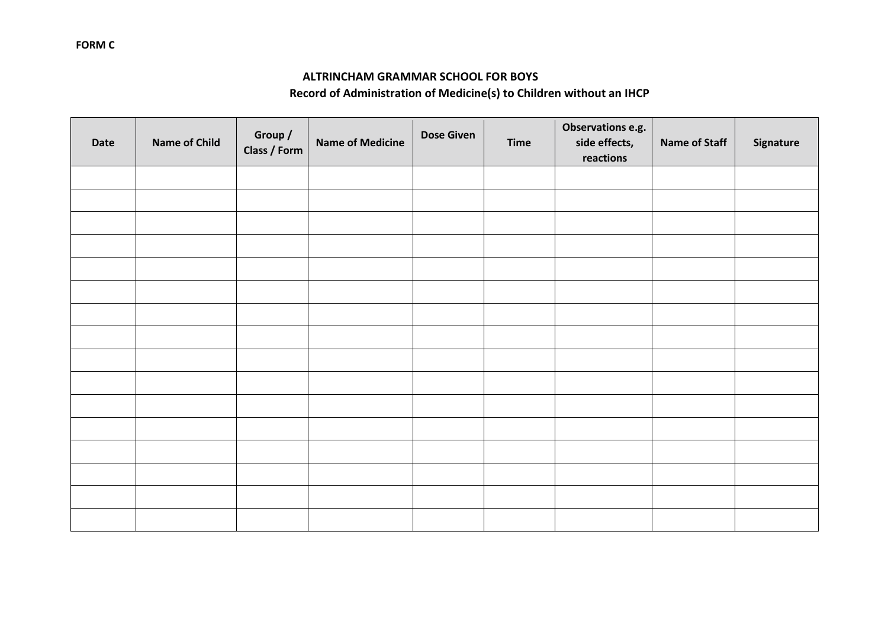### **ALTRINCHAM GRAMMAR SCHOOL FOR BOYS**

## **Record of Administration of Medicine(s) to Children without an IHCP**

| Date | <b>Name of Child</b> | Group /<br>Class / Form | <b>Name of Medicine</b> | <b>Dose Given</b> | <b>Time</b> | Observations e.g.<br>side effects,<br>reactions | <b>Name of Staff</b> | Signature |
|------|----------------------|-------------------------|-------------------------|-------------------|-------------|-------------------------------------------------|----------------------|-----------|
|      |                      |                         |                         |                   |             |                                                 |                      |           |
|      |                      |                         |                         |                   |             |                                                 |                      |           |
|      |                      |                         |                         |                   |             |                                                 |                      |           |
|      |                      |                         |                         |                   |             |                                                 |                      |           |
|      |                      |                         |                         |                   |             |                                                 |                      |           |
|      |                      |                         |                         |                   |             |                                                 |                      |           |
|      |                      |                         |                         |                   |             |                                                 |                      |           |
|      |                      |                         |                         |                   |             |                                                 |                      |           |
|      |                      |                         |                         |                   |             |                                                 |                      |           |
|      |                      |                         |                         |                   |             |                                                 |                      |           |
|      |                      |                         |                         |                   |             |                                                 |                      |           |
|      |                      |                         |                         |                   |             |                                                 |                      |           |
|      |                      |                         |                         |                   |             |                                                 |                      |           |
|      |                      |                         |                         |                   |             |                                                 |                      |           |
|      |                      |                         |                         |                   |             |                                                 |                      |           |
|      |                      |                         |                         |                   |             |                                                 |                      |           |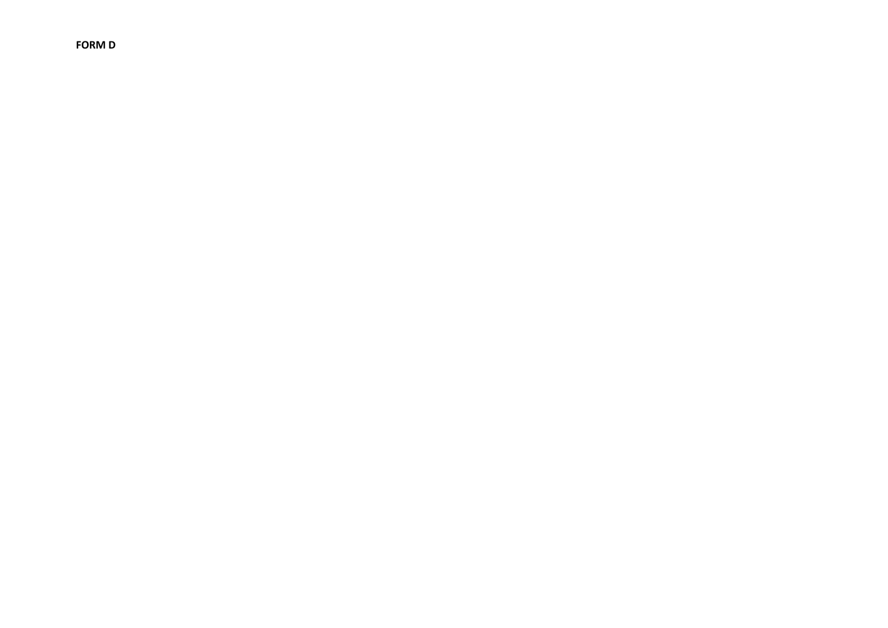**FORM D**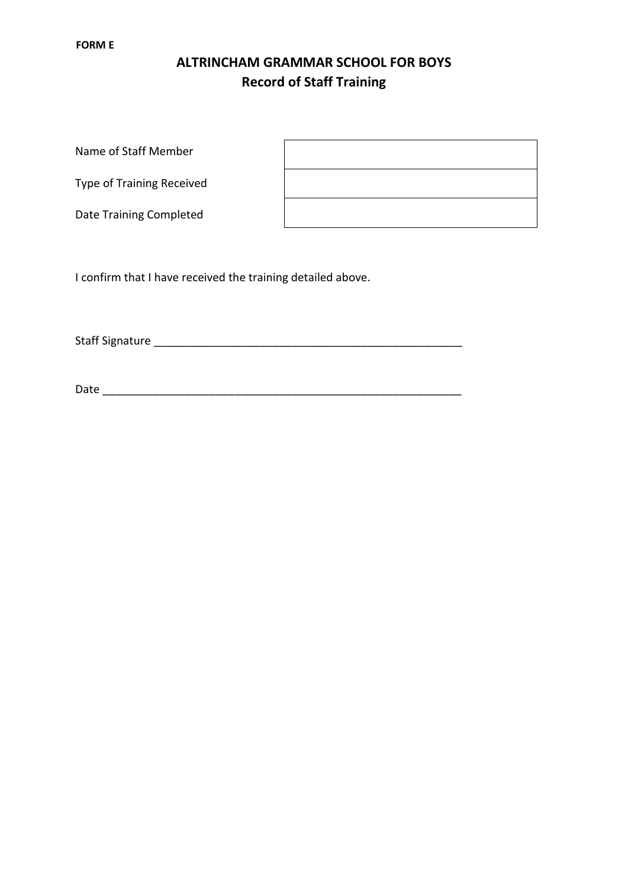# **ALTRINCHAM GRAMMAR SCHOOL FOR BOYS Record of Staff Training**

Name of Staff Member

Type of Training Received

Date Training Completed

I confirm that I have received the training detailed above.

Staff Signature \_\_\_\_\_\_\_\_\_\_\_\_\_\_\_\_\_\_\_\_\_\_\_\_\_\_\_\_\_\_\_\_\_\_\_\_\_\_\_\_\_\_\_\_\_\_\_\_\_

Date \_\_\_\_\_\_\_\_\_\_\_\_\_\_\_\_\_\_\_\_\_\_\_\_\_\_\_\_\_\_\_\_\_\_\_\_\_\_\_\_\_\_\_\_\_\_\_\_\_\_\_\_\_\_\_\_\_